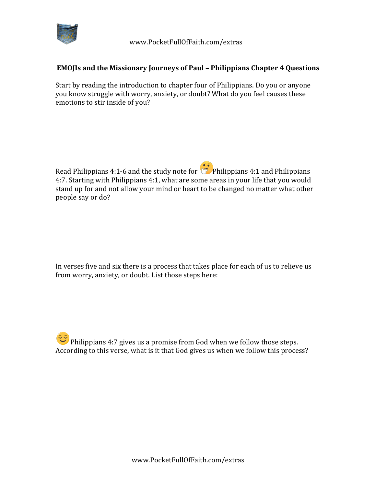

## **EMOJIs and the Missionary Journeys of Paul - Philippians Chapter 4 Questions**

Start by reading the introduction to chapter four of Philippians. Do you or anyone you know struggle with worry, anxiety, or doubt? What do you feel causes these emotions to stir inside of you?

Read Philippians 4:1-6 and the study note for  $\bullet$  Philippians 4:1 and Philippians 4:7. Starting with Philippians 4:1, what are some areas in your life that you would stand up for and not allow your mind or heart to be changed no matter what other people say or do?

In verses five and six there is a process that takes place for each of us to relieve us from worry, anxiety, or doubt. List those steps here:

Philippians 4:7 gives us a promise from God when we follow those steps. According to this verse, what is it that God gives us when we follow this process?